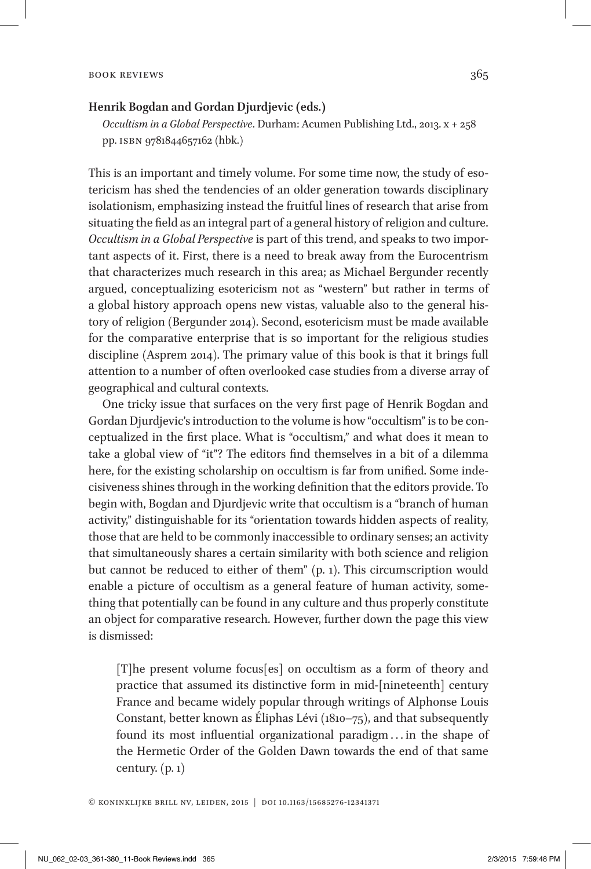## BOOK REVIEWS 365

## **Henrik Bogdan and Gordan Djurdjevic (eds.)**

*Occultism in a Global Perspective*. Durham: Acumen Publishing Ltd., 2013. x + 258 pp. isbn 9781844657162 (hbk.)

This is an important and timely volume. For some time now, the study of esotericism has shed the tendencies of an older generation towards disciplinary isolationism, emphasizing instead the fruitful lines of research that arise from situating the field as an integral part of a general history of religion and culture. *Occultism in a Global Perspective* is part of this trend, and speaks to two important aspects of it. First, there is a need to break away from the Eurocentrism that characterizes much research in this area; as Michael Bergunder recently argued, conceptualizing esotericism not as "western" but rather in terms of a global history approach opens new vistas, valuable also to the general history of religion (Bergunder 2014). Second, esotericism must be made available for the comparative enterprise that is so important for the religious studies discipline (Asprem 2014). The primary value of this book is that it brings full attention to a number of often overlooked case studies from a diverse array of geographical and cultural contexts.

One tricky issue that surfaces on the very first page of Henrik Bogdan and Gordan Djurdjevic's introduction to the volume is how "occultism" is to be conceptualized in the first place. What is "occultism," and what does it mean to take a global view of "it"? The editors find themselves in a bit of a dilemma here, for the existing scholarship on occultism is far from unified. Some indecisiveness shines through in the working definition that the editors provide. To begin with, Bogdan and Djurdjevic write that occultism is a "branch of human activity," distinguishable for its "orientation towards hidden aspects of reality, those that are held to be commonly inaccessible to ordinary senses; an activity that simultaneously shares a certain similarity with both science and religion but cannot be reduced to either of them" (p. 1). This circumscription would enable a picture of occultism as a general feature of human activity, something that potentially can be found in any culture and thus properly constitute an object for comparative research. However, further down the page this view is dismissed:

[T]he present volume focus[es] on occultism as a form of theory and practice that assumed its distinctive form in mid-[nineteenth] century France and became widely popular through writings of Alphonse Louis Constant, better known as Éliphas Lévi (1810–75), and that subsequently found its most influential organizational paradigm . . . in the shape of the Hermetic Order of the Golden Dawn towards the end of that same century.  $(p, 1)$ 

© koninklijke brill nv, leiden, ���5 | doi 10.1163/15685276-12341371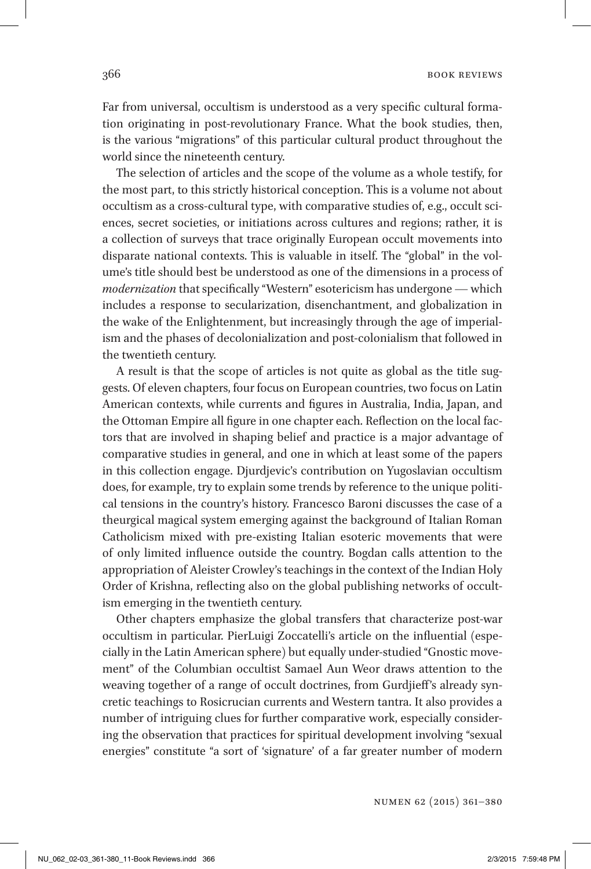Far from universal, occultism is understood as a very specific cultural formation originating in post-revolutionary France. What the book studies, then, is the various "migrations" of this particular cultural product throughout the world since the nineteenth century.

The selection of articles and the scope of the volume as a whole testify, for the most part, to this strictly historical conception. This is a volume not about occultism as a cross-cultural type, with comparative studies of, e.g., occult sciences, secret societies, or initiations across cultures and regions; rather, it is a collection of surveys that trace originally European occult movements into disparate national contexts. This is valuable in itself. The "global" in the volume's title should best be understood as one of the dimensions in a process of *modernization* that specifically "Western" esotericism has undergone — which includes a response to secularization, disenchantment, and globalization in the wake of the Enlightenment, but increasingly through the age of imperialism and the phases of decolonialization and post-colonialism that followed in the twentieth century.

A result is that the scope of articles is not quite as global as the title suggests. Of eleven chapters, four focus on European countries, two focus on Latin American contexts, while currents and figures in Australia, India, Japan, and the Ottoman Empire all figure in one chapter each. Reflection on the local factors that are involved in shaping belief and practice is a major advantage of comparative studies in general, and one in which at least some of the papers in this collection engage. Djurdjevic's contribution on Yugoslavian occultism does, for example, try to explain some trends by reference to the unique political tensions in the country's history. Francesco Baroni discusses the case of a theurgical magical system emerging against the background of Italian Roman Catholicism mixed with pre-existing Italian esoteric movements that were of only limited influence outside the country. Bogdan calls attention to the appropriation of Aleister Crowley's teachings in the context of the Indian Holy Order of Krishna, reflecting also on the global publishing networks of occultism emerging in the twentieth century.

Other chapters emphasize the global transfers that characterize post-war occultism in particular. PierLuigi Zoccatelli's article on the influential (especially in the Latin American sphere) but equally under-studied "Gnostic movement" of the Columbian occultist Samael Aun Weor draws attention to the weaving together of a range of occult doctrines, from Gurdjieff's already syncretic teachings to Rosicrucian currents and Western tantra. It also provides a number of intriguing clues for further comparative work, especially considering the observation that practices for spiritual development involving "sexual energies" constitute "a sort of 'signature' of a far greater number of modern

Numen 62 (2015) 361–380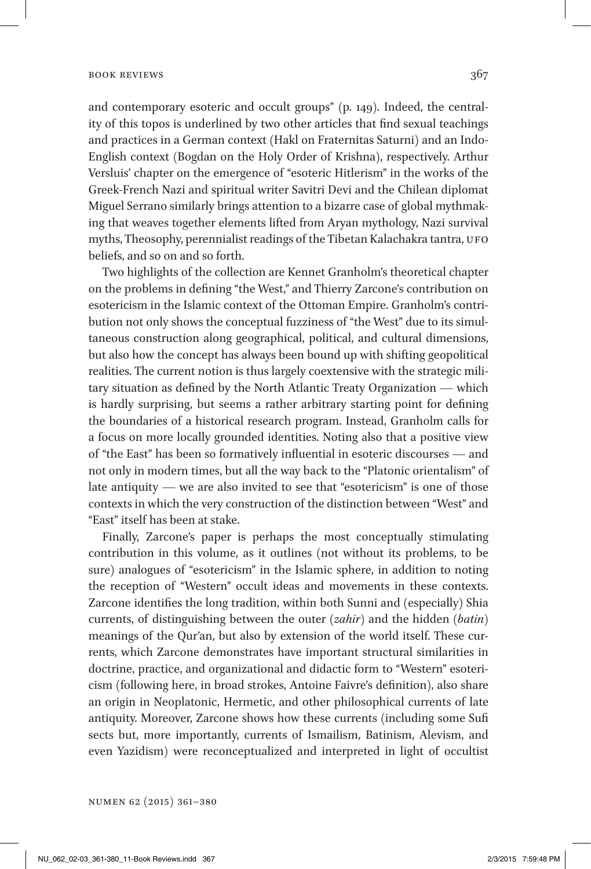## BOOK REVIEWS 367

and contemporary esoteric and occult groups" (p. 149). Indeed, the centrality of this topos is underlined by two other articles that find sexual teachings and practices in a German context (Hakl on Fraternitas Saturni) and an Indo-English context (Bogdan on the Holy Order of Krishna), respectively. Arthur Versluis' chapter on the emergence of "esoteric Hitlerism" in the works of the Greek-French Nazi and spiritual writer Savitri Devi and the Chilean diplomat Miguel Serrano similarly brings attention to a bizarre case of global mythmaking that weaves together elements lifted from Aryan mythology, Nazi survival myths, Theosophy, perennialist readings of the Tibetan Kalachakra tantra, UFO beliefs, and so on and so forth.

Two highlights of the collection are Kennet Granholm's theoretical chapter on the problems in defining "the West," and Thierry Zarcone's contribution on esotericism in the Islamic context of the Ottoman Empire. Granholm's contribution not only shows the conceptual fuzziness of "the West" due to its simultaneous construction along geographical, political, and cultural dimensions, but also how the concept has always been bound up with shifting geopolitical realities. The current notion is thus largely coextensive with the strategic military situation as defined by the North Atlantic Treaty Organization — which is hardly surprising, but seems a rather arbitrary starting point for defining the boundaries of a historical research program. Instead, Granholm calls for a focus on more locally grounded identities. Noting also that a positive view of "the East" has been so formatively influential in esoteric discourses — and not only in modern times, but all the way back to the "Platonic orientalism" of late antiquity — we are also invited to see that "esotericism" is one of those contexts in which the very construction of the distinction between "West" and "East" itself has been at stake.

Finally, Zarcone's paper is perhaps the most conceptually stimulating contribution in this volume, as it outlines (not without its problems, to be sure) analogues of "esotericism" in the Islamic sphere, in addition to noting the reception of "Western" occult ideas and movements in these contexts. Zarcone identifies the long tradition, within both Sunni and (especially) Shia currents, of distinguishing between the outer (*zahir*) and the hidden (*batin*) meanings of the Qur'an, but also by extension of the world itself. These currents, which Zarcone demonstrates have important structural similarities in doctrine, practice, and organizational and didactic form to "Western" esotericism (following here, in broad strokes, Antoine Faivre's definition), also share an origin in Neoplatonic, Hermetic, and other philosophical currents of late antiquity. Moreover, Zarcone shows how these currents (including some Sufi sects but, more importantly, currents of Ismailism, Batinism, Alevism, and even Yazidism) were reconceptualized and interpreted in light of occultist

Numen 62 (2015) 361–380